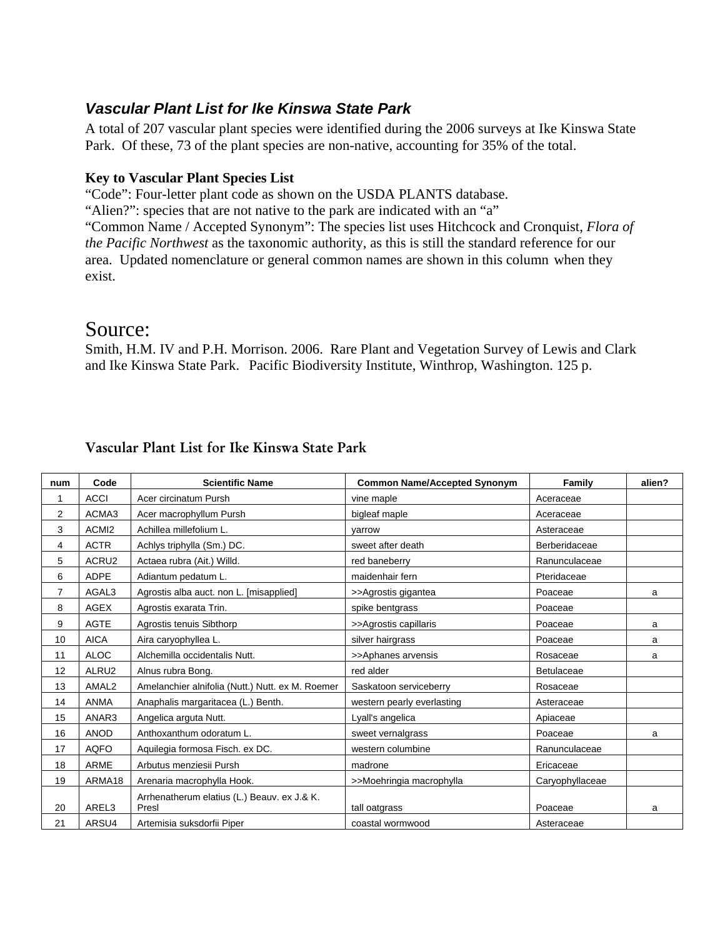## *Vascular Plant List for Ike Kinswa State Park*

A total of 207 vascular plant species were identified during the 2006 surveys at Ike Kinswa State Park. Of these, 73 of the plant species are non-native, accounting for 35% of the total.

## **Key to Vascular Plant Species List**

"Code": Four-letter plant code as shown on the USDA PLANTS database.

"Alien?": species that are not native to the park are indicated with an "a"

"Common Name / Accepted Synonym": The species list uses Hitchcock and Cronquist, *Flora of the Pacific Northwest* as the taxonomic authority, as this is still the standard reference for our area. Updated nomenclature or general common names are shown in this column when they exist.

## Source:

Smith, H.M. IV and P.H. Morrison. 2006. Rare Plant and Vegetation Survey of Lewis and Clark and Ike Kinswa State Park.Pacific Biodiversity Institute, Winthrop, Washington. 125 p.

| num            | Code              | <b>Scientific Name</b>                               | <b>Common Name/Accepted Synonym</b> | Family          | alien? |
|----------------|-------------------|------------------------------------------------------|-------------------------------------|-----------------|--------|
| 1              | <b>ACCI</b>       | Acer circinatum Pursh                                | vine maple                          | Aceraceae       |        |
| 2              | ACMA3             | Acer macrophyllum Pursh                              | bigleaf maple                       | Aceraceae       |        |
| 3              | ACMI <sub>2</sub> | Achillea millefolium L.                              | varrow                              | Asteraceae      |        |
| 4              | <b>ACTR</b>       | Achlys triphylla (Sm.) DC.                           | sweet after death                   | Berberidaceae   |        |
| 5              | ACRU2             | Actaea rubra (Ait.) Willd.                           | red baneberry                       | Ranunculaceae   |        |
| 6              | <b>ADPE</b>       | Adiantum pedatum L.                                  | maidenhair fern                     | Pteridaceae     |        |
| $\overline{7}$ | AGAL3             | Agrostis alba auct. non L. [misapplied]              | >>Agrostis gigantea                 | Poaceae         | a      |
| 8              | <b>AGEX</b>       | Agrostis exarata Trin.                               | spike bentgrass                     | Poaceae         |        |
| 9              | <b>AGTE</b>       | Agrostis tenuis Sibthorp                             | >>Agrostis capillaris               | Poaceae         | a      |
| 10             | <b>AICA</b>       | Aira caryophyllea L.                                 | silver hairgrass                    | Poaceae         | a      |
| 11             | <b>ALOC</b>       | Alchemilla occidentalis Nutt.                        | >>Aphanes arvensis                  | Rosaceae        | a      |
| 12             | ALRU2             | Alnus rubra Bong.                                    | red alder                           | Betulaceae      |        |
| 13             | AMAL <sub>2</sub> | Amelanchier alnifolia (Nutt.) Nutt. ex M. Roemer     | Saskatoon serviceberry              | Rosaceae        |        |
| 14             | <b>ANMA</b>       | Anaphalis margaritacea (L.) Benth.                   | western pearly everlasting          | Asteraceae      |        |
| 15             | ANAR3             | Angelica arguta Nutt.                                | Lyall's angelica                    | Apiaceae        |        |
| 16             | <b>ANOD</b>       | Anthoxanthum odoratum L.                             | sweet vernalgrass                   | Poaceae         | a      |
| 17             | <b>AQFO</b>       | Aquilegia formosa Fisch. ex DC.                      | western columbine                   | Ranunculaceae   |        |
| 18             | <b>ARME</b>       | Arbutus menziesii Pursh                              | madrone                             | Ericaceae       |        |
| 19             | ARMA18            | Arenaria macrophylla Hook.                           | >>Moehringia macrophylla            | Caryophyllaceae |        |
| 20             | AREL3             | Arrhenatherum elatius (L.) Beauv. ex J.& K.<br>Presl | tall oatgrass                       | Poaceae         | a      |
| 21             | ARSU4             | Artemisia suksdorfii Piper                           | coastal wormwood                    | Asteraceae      |        |

## Vascular Plant List for Ike Kinswa State Park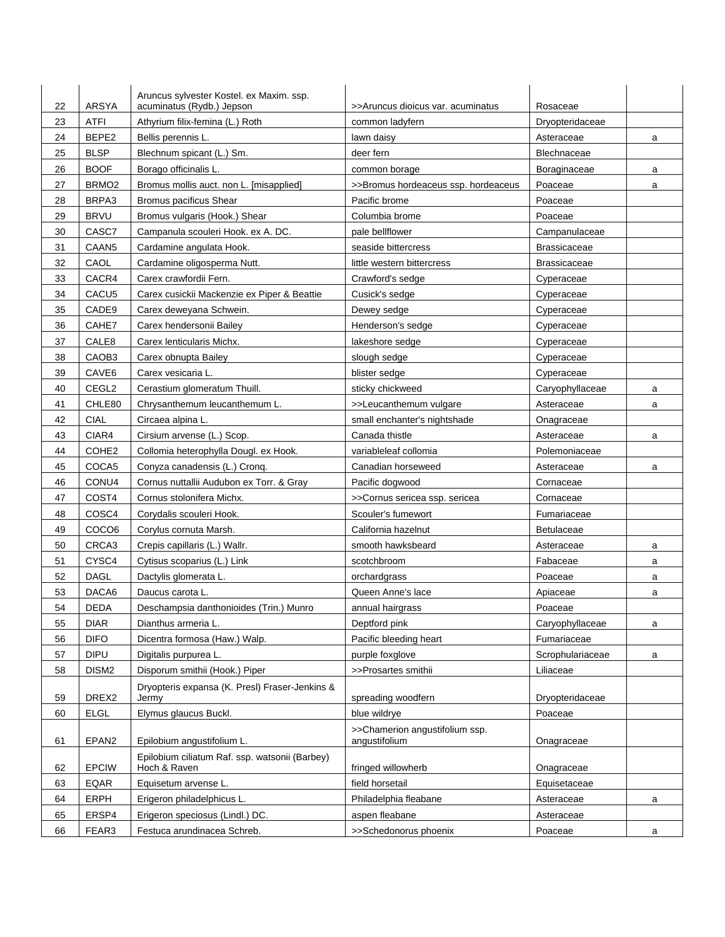| 22 | <b>ARSYA</b>               | Aruncus sylvester Kostel. ex Maxim. ssp.<br>acuminatus (Rydb.) Jepson | >>Aruncus dioicus var. acuminatus               | Rosaceae            |   |
|----|----------------------------|-----------------------------------------------------------------------|-------------------------------------------------|---------------------|---|
| 23 | <b>ATFI</b>                | Athyrium filix-femina (L.) Roth                                       | common ladyfern                                 | Dryopteridaceae     |   |
| 24 | BEPE2                      | Bellis perennis L.                                                    | lawn daisy                                      | Asteraceae          | a |
| 25 | <b>BLSP</b>                | Blechnum spicant (L.) Sm.                                             | deer fern                                       | Blechnaceae         |   |
| 26 | <b>BOOF</b>                | Borago officinalis L.                                                 | common borage                                   | Boraginaceae        | a |
| 27 | BRMO <sub>2</sub>          | Bromus mollis auct. non L. [misapplied]                               | >>Bromus hordeaceus ssp. hordeaceus             | Poaceae             | a |
| 28 | BRPA3                      | Bromus pacificus Shear                                                | Pacific brome                                   | Poaceae             |   |
| 29 | <b>BRVU</b>                | Bromus vulgaris (Hook.) Shear                                         | Columbia brome                                  | Poaceae             |   |
| 30 | CASC7                      | Campanula scouleri Hook, ex A. DC.                                    | pale bellflower                                 | Campanulaceae       |   |
| 31 | CAAN <sub>5</sub>          | Cardamine angulata Hook.                                              | seaside bittercress                             | <b>Brassicaceae</b> |   |
| 32 | CAOL                       | Cardamine oligosperma Nutt.                                           | little western bittercress                      | <b>Brassicaceae</b> |   |
| 33 | CACR4                      | Carex crawfordii Fern.                                                | Crawford's sedge                                | Cyperaceae          |   |
| 34 | CACU <sub>5</sub>          | Carex cusickii Mackenzie ex Piper & Beattie                           | Cusick's sedge                                  | Cyperaceae          |   |
| 35 | CADE9                      | Carex deweyana Schwein.                                               | Dewey sedge                                     | Cyperaceae          |   |
| 36 | CAHE7                      | Carex hendersonii Bailey                                              | Henderson's sedge                               | Cyperaceae          |   |
| 37 | CALE8                      | Carex lenticularis Michx.                                             | lakeshore sedge                                 |                     |   |
| 38 | CAOB3                      |                                                                       | slough sedge                                    | Cyperaceae          |   |
|    |                            | Carex obnupta Bailey                                                  | blister sedge                                   | Cyperaceae          |   |
| 39 | CAVE <sub>6</sub><br>CEGL2 | Carex vesicaria L                                                     |                                                 | Cyperaceae          |   |
| 40 |                            | Cerastium glomeratum Thuill.                                          | sticky chickweed                                | Caryophyllaceae     | a |
| 41 | CHLE80                     | Chrysanthemum leucanthemum L.                                         | >>Leucanthemum vulgare                          | Asteraceae          | a |
| 42 | <b>CIAL</b>                | Circaea alpina L.                                                     | small enchanter's nightshade                    | Onagraceae          |   |
| 43 | CIAR4                      | Cirsium arvense (L.) Scop.                                            | Canada thistle                                  | Asteraceae          | a |
| 44 | COHE <sub>2</sub>          | Collomia heterophylla Dougl. ex Hook.                                 | variableleaf collomia                           | Polemoniaceae       |   |
| 45 | COCA5                      | Conyza canadensis (L.) Cronq.                                         | Canadian horseweed                              | Asteraceae          | a |
| 46 | CONU4                      | Cornus nuttallii Audubon ex Torr. & Gray                              | Pacific dogwood                                 | Cornaceae           |   |
| 47 | COST4                      | Cornus stolonifera Michx.                                             | >>Cornus sericea ssp. sericea                   | Cornaceae           |   |
| 48 | COSC4                      | Corydalis scouleri Hook.                                              | Scouler's fumewort                              | Fumariaceae         |   |
| 49 | COCO <sub>6</sub>          | Corylus cornuta Marsh.                                                | California hazelnut                             | Betulaceae          |   |
| 50 | CRCA3                      | Crepis capillaris (L.) Wallr.                                         | smooth hawksbeard                               | Asteraceae          | a |
| 51 | CYSC4                      | Cytisus scoparius (L.) Link                                           | scotchbroom                                     | Fabaceae            | a |
| 52 | <b>DAGL</b>                | Dactylis glomerata L.                                                 | orchardgrass                                    | Poaceae             | a |
| 53 | DACA6                      | Daucus carota L.                                                      | Queen Anne's lace                               | Apiaceae            | a |
| 54 | <b>DEDA</b>                | Deschampsia danthonioides (Trin.) Munro                               | annual hairgrass                                | Poaceae             |   |
| 55 | <b>DIAR</b>                | Dianthus armeria L.                                                   | Deptford pink                                   | Caryophyllaceae     | a |
| 56 | <b>DIFO</b>                | Dicentra formosa (Haw.) Walp.                                         | Pacific bleeding heart                          | Fumariaceae         |   |
| 57 | <b>DIPU</b>                | Digitalis purpurea L.                                                 | purple foxglove                                 | Scrophulariaceae    | a |
| 58 | DISM2                      | Disporum smithii (Hook.) Piper                                        | >>Prosartes smithii                             | Liliaceae           |   |
| 59 | DREX2                      | Dryopteris expansa (K. Presl) Fraser-Jenkins &<br>Jermy               | spreading woodfern                              | Dryopteridaceae     |   |
| 60 | <b>ELGL</b>                | Elymus glaucus Buckl.                                                 | blue wildrye                                    | Poaceae             |   |
| 61 | EPAN2                      | Epilobium angustifolium L.                                            | >>Chamerion angustifolium ssp.<br>angustifolium | Onagraceae          |   |
| 62 | EPCIW                      | Epilobium ciliatum Raf. ssp. watsonii (Barbey)<br>Hoch & Raven        | fringed willowherb                              | Onagraceae          |   |
| 63 | EQAR                       | Equisetum arvense L.                                                  | field horsetail                                 | Equisetaceae        |   |
| 64 | ERPH                       | Erigeron philadelphicus L.                                            | Philadelphia fleabane                           | Asteraceae          | a |
| 65 | ERSP4                      | Erigeron speciosus (Lindl.) DC.                                       | aspen fleabane                                  | Asteraceae          |   |
| 66 | FEAR3                      | Festuca arundinacea Schreb.                                           | >>Schedonorus phoenix                           | Poaceae             | a |
|    |                            |                                                                       |                                                 |                     |   |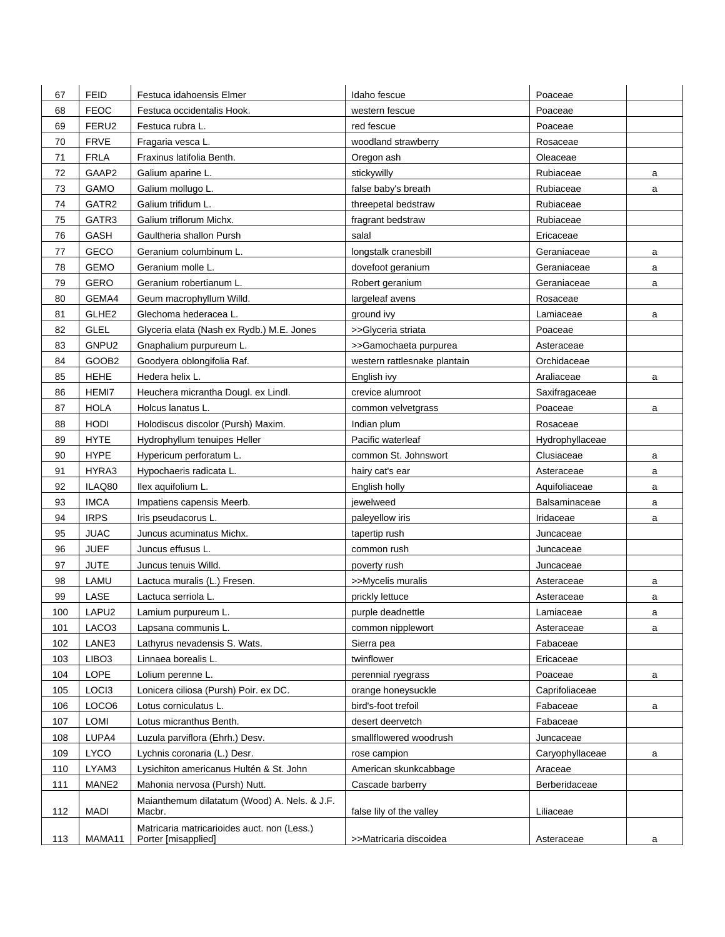| 67  | <b>FEID</b>       | Festuca idahoensis Elmer                                           | Idaho fescue                 | Poaceae         |   |
|-----|-------------------|--------------------------------------------------------------------|------------------------------|-----------------|---|
| 68  | <b>FEOC</b>       | Festuca occidentalis Hook.                                         | western fescue               | Poaceae         |   |
| 69  | FERU2             | Festuca rubra L.                                                   | red fescue                   | Poaceae         |   |
| 70  | <b>FRVE</b>       | Fragaria vesca L.                                                  | woodland strawberry          | Rosaceae        |   |
| 71  | <b>FRLA</b>       | Fraxinus latifolia Benth.                                          | Oregon ash                   | Oleaceae        |   |
| 72  | GAAP2             | Galium aparine L.                                                  | stickywilly                  | Rubiaceae       | a |
| 73  | GAMO              | Galium mollugo L.                                                  | false baby's breath          | Rubiaceae       | a |
| 74  | GATR2             | Galium trifidum L.                                                 | threepetal bedstraw          | Rubiaceae       |   |
| 75  | GATR3             | Galium triflorum Michx.                                            | fragrant bedstraw            | Rubiaceae       |   |
| 76  | GASH              | Gaultheria shallon Pursh                                           | salal                        | Ericaceae       |   |
| 77  | GECO              | Geranium columbinum L.                                             | longstalk cranesbill         | Geraniaceae     | a |
| 78  | <b>GEMO</b>       | Geranium molle L.                                                  | dovefoot geranium            | Geraniaceae     | a |
| 79  | GERO              | Geranium robertianum L.                                            | Robert geranium              | Geraniaceae     | a |
| 80  | GEMA4             | Geum macrophyllum Willd.                                           | largeleaf avens              | Rosaceae        |   |
| 81  | GLHE <sub>2</sub> | Glechoma hederacea L.                                              | ground ivy                   | Lamiaceae       | a |
| 82  | GLEL              | Glyceria elata (Nash ex Rydb.) M.E. Jones                          | >>Glyceria striata           | Poaceae         |   |
| 83  | GNPU2             | Gnaphalium purpureum L.                                            | >>Gamochaeta purpurea        | Asteraceae      |   |
| 84  | GOOB2             | Goodyera oblongifolia Raf.                                         | western rattlesnake plantain | Orchidaceae     |   |
| 85  | <b>HEHE</b>       | Hedera helix L.                                                    | English ivy                  | Araliaceae      | a |
| 86  | HEMI7             | Heuchera micrantha Dougl. ex Lindl.                                | crevice alumroot             | Saxifragaceae   |   |
| 87  | HOLA              | Holcus lanatus L.                                                  | common velvetgrass           | Poaceae         | a |
| 88  | <b>HODI</b>       | Holodiscus discolor (Pursh) Maxim.                                 | Indian plum                  | Rosaceae        |   |
| 89  | <b>HYTE</b>       | Hydrophyllum tenuipes Heller                                       | Pacific waterleaf            | Hydrophyllaceae |   |
| 90  | <b>HYPE</b>       | Hypericum perforatum L.                                            | common St. Johnswort         | Clusiaceae      | a |
| 91  | HYRA3             | Hypochaeris radicata L.                                            | hairy cat's ear              | Asteraceae      | a |
| 92  | ILAQ80            | Ilex aquifolium L.                                                 | English holly                | Aquifoliaceae   | a |
| 93  | <b>IMCA</b>       | Impatiens capensis Meerb.                                          | jewelweed                    | Balsaminaceae   | a |
| 94  | <b>IRPS</b>       | Iris pseudacorus L.                                                | paleyellow iris              | Iridaceae       | a |
| 95  | <b>JUAC</b>       | Juncus acuminatus Michx.                                           | tapertip rush                | Juncaceae       |   |
| 96  | <b>JUEF</b>       | Juncus effusus L.                                                  | common rush                  | Juncaceae       |   |
| 97  | <b>JUTE</b>       | Juncus tenuis Willd.                                               | poverty rush                 | Juncaceae       |   |
| 98  | LAMU              | Lactuca muralis (L.) Fresen.                                       | >>Mycelis muralis            | Asteraceae      | a |
| 99  | LASE              | Lactuca serriola L.                                                | prickly lettuce              | Asteraceae      | a |
| 100 | LAPU <sub>2</sub> | Lamium purpureum L.                                                | purple deadnettle            | Lamiaceae       | a |
| 101 | LACO <sub>3</sub> | Lapsana communis L.                                                | common nipplewort            | Asteraceae      | a |
| 102 | LANE3             | Lathyrus nevadensis S. Wats.                                       | Sierra pea                   | Fabaceae        |   |
| 103 | LIBO <sub>3</sub> | Linnaea borealis L.                                                | twinflower                   | Ericaceae       |   |
| 104 | LOPE              | Lolium perenne L.                                                  | perennial ryegrass           | Poaceae         | a |
| 105 | LOCI3             | Lonicera ciliosa (Pursh) Poir. ex DC.                              | orange honeysuckle           | Caprifoliaceae  |   |
| 106 | LOCO6             | Lotus corniculatus L.                                              | bird's-foot trefoil          | Fabaceae        | a |
| 107 | LOMI              | Lotus micranthus Benth.                                            | desert deervetch             | Fabaceae        |   |
| 108 | LUPA4             | Luzula parviflora (Ehrh.) Desv.                                    | smallflowered woodrush       | Juncaceae       |   |
| 109 | <b>LYCO</b>       | Lychnis coronaria (L.) Desr.                                       | rose campion                 | Caryophyllaceae | a |
| 110 | LYAM3             | Lysichiton americanus Hultén & St. John                            | American skunkcabbage        | Araceae         |   |
| 111 | MANE2             | Mahonia nervosa (Pursh) Nutt.                                      | Cascade barberry             | Berberidaceae   |   |
| 112 | <b>MADI</b>       | Maianthemum dilatatum (Wood) A. Nels. & J.F.<br>Macbr.             | false lily of the valley     | Liliaceae       |   |
| 113 | MAMA11            | Matricaria matricarioides auct. non (Less.)<br>Porter [misapplied] | >>Matricaria discoidea       | Asteraceae      | a |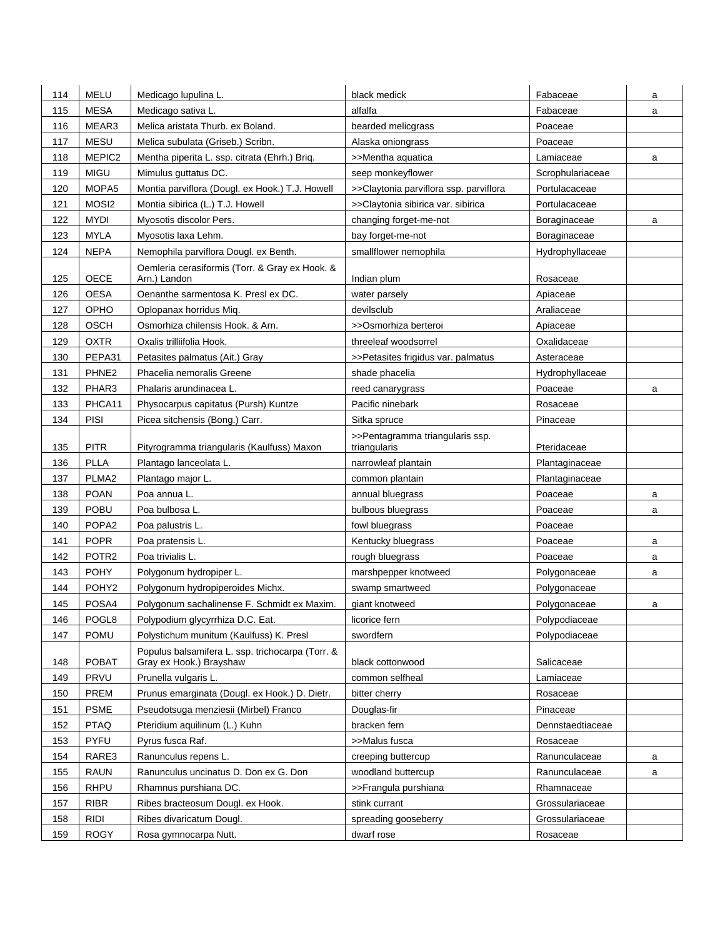| 114 | <b>MELU</b>       | Medicago Iupulina L.                             | black medick                                    | Fabaceae         | a |
|-----|-------------------|--------------------------------------------------|-------------------------------------------------|------------------|---|
| 115 | <b>MESA</b>       | Medicago sativa L.                               | alfalfa                                         | Fabaceae         | a |
| 116 | MEAR3             | Melica aristata Thurb. ex Boland.                | bearded melicgrass                              | Poaceae          |   |
| 117 | <b>MESU</b>       | Melica subulata (Griseb.) Scribn.                | Alaska oniongrass                               | Poaceae          |   |
| 118 | MEPIC2            | Mentha piperita L. ssp. citrata (Ehrh.) Brig.    | >>Mentha aquatica                               | Lamiaceae        | a |
| 119 | <b>MIGU</b>       | Mimulus guttatus DC.                             | seep monkeyflower                               | Scrophulariaceae |   |
| 120 | MOPA <sub>5</sub> | Montia parviflora (Dougl. ex Hook.) T.J. Howell  | >>Claytonia parviflora ssp. parviflora          | Portulacaceae    |   |
| 121 | MOSI <sub>2</sub> | Montia sibirica (L.) T.J. Howell                 | >>Claytonia sibirica var. sibirica              | Portulacaceae    |   |
| 122 | <b>MYDI</b>       | Myosotis discolor Pers.                          | changing forget-me-not                          | Boraginaceae     | a |
| 123 | <b>MYLA</b>       | Myosotis laxa Lehm.                              | bay forget-me-not                               | Boraginaceae     |   |
| 124 | <b>NEPA</b>       | Nemophila parviflora Dougl. ex Benth.            | smallflower nemophila                           | Hydrophyllaceae  |   |
|     |                   | Oemleria cerasiformis (Torr. & Gray ex Hook. &   |                                                 |                  |   |
| 125 | OECE              | Arn.) Landon                                     | Indian plum                                     | Rosaceae         |   |
| 126 | <b>OESA</b>       | Oenanthe sarmentosa K. Presl ex DC.              | water parsely                                   | Apiaceae         |   |
| 127 | OPHO              | Oplopanax horridus Miq.                          | devilsclub                                      | Araliaceae       |   |
| 128 | <b>OSCH</b>       | Osmorhiza chilensis Hook. & Arn.                 | >>Osmorhiza berteroi                            | Apiaceae         |   |
| 129 | <b>OXTR</b>       | Oxalis trilliifolia Hook.                        | threeleaf woodsorrel                            | Oxalidaceae      |   |
| 130 | PEPA31            | Petasites palmatus (Ait.) Gray                   | >>Petasites frigidus var. palmatus              | Asteraceae       |   |
| 131 | PHNE2             | Phacelia nemoralis Greene                        | shade phacelia                                  | Hydrophyllaceae  |   |
| 132 | PHAR3             | Phalaris arundinacea L.                          | reed canarygrass                                | Poaceae          | a |
| 133 | PHCA11            | Physocarpus capitatus (Pursh) Kuntze             | Pacific ninebark                                | Rosaceae         |   |
| 134 | <b>PISI</b>       | Picea sitchensis (Bong.) Carr.                   | Sitka spruce                                    | Pinaceae         |   |
| 135 | <b>PITR</b>       | Pityrogramma triangularis (Kaulfuss) Maxon       | >>Pentagramma triangularis ssp.<br>triangularis | Pteridaceae      |   |
| 136 | <b>PLLA</b>       | Plantago lanceolata L.                           | narrowleaf plantain                             | Plantaginaceae   |   |
| 137 | PLMA <sub>2</sub> | Plantago major L.                                | common plantain                                 | Plantaginaceae   |   |
| 138 | <b>POAN</b>       | Poa annua L.                                     | annual bluegrass                                | Poaceae          | a |
| 139 | POBU              | Poa bulbosa L.                                   | bulbous bluegrass                               | Poaceae          | a |
| 140 | POPA <sub>2</sub> | Poa palustris L.                                 | fowl bluegrass                                  | Poaceae          |   |
| 141 | <b>POPR</b>       | Poa pratensis L.                                 | Kentucky bluegrass                              | Poaceae          | a |
| 142 | POTR <sub>2</sub> | Poa trivialis L.                                 | rough bluegrass                                 | Poaceae          | a |
| 143 | <b>POHY</b>       | Polygonum hydropiper L.                          | marshpepper knotweed                            | Polygonaceae     | a |
| 144 | POHY <sub>2</sub> | Polygonum hydropiperoides Michx.                 | swamp smartweed                                 | Polygonaceae     |   |
| 145 | POSA4             | Polygonum sachalinense F. Schmidt ex Maxim.      | giant knotweed                                  | Polygonaceae     | a |
| 146 | POGL8             | Polypodium glycyrrhiza D.C. Eat.                 | licorice fern                                   | Polypodiaceae    |   |
| 147 | <b>POMU</b>       | Polystichum munitum (Kaulfuss) K. Presl          | swordfern                                       | Polypodiaceae    |   |
|     |                   | Populus balsamifera L. ssp. trichocarpa (Torr. & |                                                 |                  |   |
| 148 | <b>POBAT</b>      | Gray ex Hook.) Brayshaw                          | black cottonwood                                | Salicaceae       |   |
| 149 | PRVU              | Prunella vulgaris L.                             | common selfheal                                 | Lamiaceae        |   |
| 150 | PREM              | Prunus emarginata (Dougl. ex Hook.) D. Dietr.    | bitter cherry                                   | Rosaceae         |   |
| 151 | <b>PSME</b>       | Pseudotsuga menziesii (Mirbel) Franco            | Douglas-fir                                     | Pinaceae         |   |
| 152 | PTAQ              | Pteridium aquilinum (L.) Kuhn                    | bracken fern                                    | Dennstaedtiaceae |   |
| 153 | PYFU              | Pyrus fusca Raf.                                 | >>Malus fusca                                   | Rosaceae         |   |
| 154 | RARE3             | Ranunculus repens L.                             | creeping buttercup                              | Ranunculaceae    | a |
| 155 | <b>RAUN</b>       | Ranunculus uncinatus D. Don ex G. Don            | woodland buttercup                              | Ranunculaceae    | a |
| 156 | <b>RHPU</b>       | Rhamnus purshiana DC.                            | >>Frangula purshiana                            | Rhamnaceae       |   |
| 157 | <b>RIBR</b>       | Ribes bracteosum Dougl. ex Hook.                 | stink currant                                   | Grossulariaceae  |   |
| 158 | <b>RIDI</b>       | Ribes divaricatum Dougl.                         | spreading gooseberry                            | Grossulariaceae  |   |
| 159 | <b>ROGY</b>       | Rosa gymnocarpa Nutt.                            | dwarf rose                                      | Rosaceae         |   |